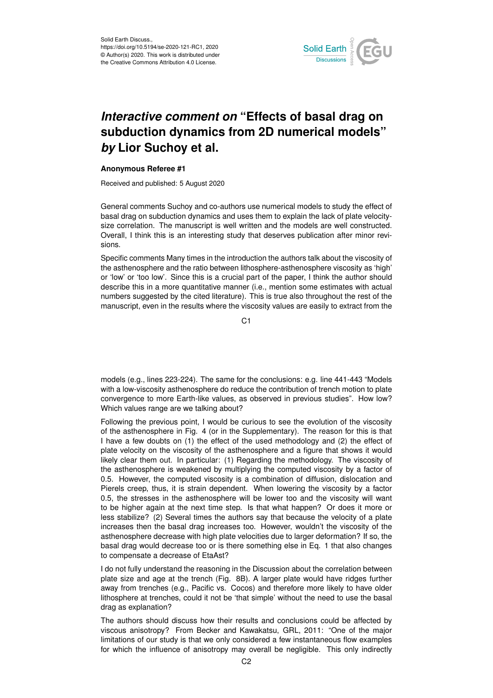

## *Interactive comment on* **"Effects of basal drag on subduction dynamics from 2D numerical models"** *by* **Lior Suchoy et al.**

## **Anonymous Referee #1**

Received and published: 5 August 2020

General comments Suchoy and co-authors use numerical models to study the effect of basal drag on subduction dynamics and uses them to explain the lack of plate velocitysize correlation. The manuscript is well written and the models are well constructed. Overall, I think this is an interesting study that deserves publication after minor revisions.

Specific comments Many times in the introduction the authors talk about the viscosity of the asthenosphere and the ratio between lithosphere-asthenosphere viscosity as 'high' or 'low' or 'too low'. Since this is a crucial part of the paper, I think the author should describe this in a more quantitative manner (i.e., mention some estimates with actual numbers suggested by the cited literature). This is true also throughout the rest of the manuscript, even in the results where the viscosity values are easily to extract from the

C<sub>1</sub>

models (e.g., lines 223-224). The same for the conclusions: e.g. line 441-443 "Models with a low-viscosity asthenosphere do reduce the contribution of trench motion to plate convergence to more Earth-like values, as observed in previous studies". How low? Which values range are we talking about?

Following the previous point, I would be curious to see the evolution of the viscosity of the asthenosphere in Fig. 4 (or in the Supplementary). The reason for this is that I have a few doubts on (1) the effect of the used methodology and (2) the effect of plate velocity on the viscosity of the asthenosphere and a figure that shows it would likely clear them out. In particular: (1) Regarding the methodology. The viscosity of the asthenosphere is weakened by multiplying the computed viscosity by a factor of 0.5. However, the computed viscosity is a combination of diffusion, dislocation and Pierels creep, thus, it is strain dependent. When lowering the viscosity by a factor 0.5, the stresses in the asthenosphere will be lower too and the viscosity will want to be higher again at the next time step. Is that what happen? Or does it more or less stabilize? (2) Several times the authors say that because the velocity of a plate increases then the basal drag increases too. However, wouldn't the viscosity of the asthenosphere decrease with high plate velocities due to larger deformation? If so, the basal drag would decrease too or is there something else in Eq. 1 that also changes to compensate a decrease of EtaAst?

I do not fully understand the reasoning in the Discussion about the correlation between plate size and age at the trench (Fig. 8B). A larger plate would have ridges further away from trenches (e.g., Pacific vs. Cocos) and therefore more likely to have older lithosphere at trenches, could it not be 'that simple' without the need to use the basal drag as explanation?

The authors should discuss how their results and conclusions could be affected by viscous anisotropy? From Becker and Kawakatsu, GRL, 2011: "One of the major limitations of our study is that we only considered a few instantaneous flow examples for which the influence of anisotropy may overall be negligible. This only indirectly